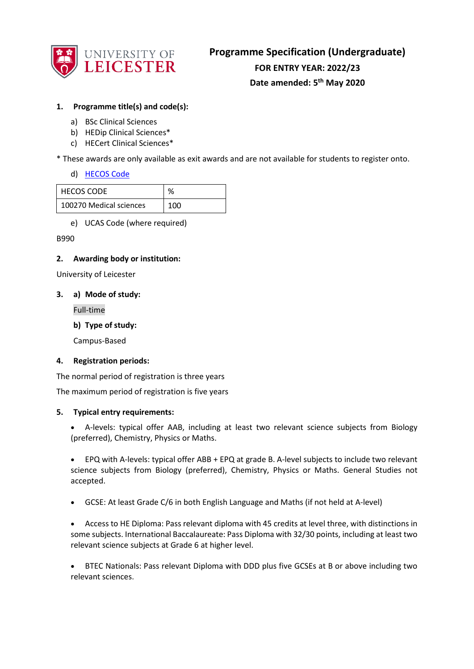

# **1. Programme title(s) and code(s):**

- a) BSc Clinical Sciences
- b) HEDip Clinical Sciences\*
- c) HECert Clinical Sciences\*

\* These awards are only available as exit awards and are not available for students to register onto.

d) [HECOS Code](https://www.hesa.ac.uk/innovation/hecos)

| <b>HECOS CODE</b>       | %   |
|-------------------------|-----|
| 100270 Medical sciences | 100 |

e) UCAS Code (where required)

#### B990

#### **2. Awarding body or institution:**

University of Leicester

#### **3. a) Mode of study:**

Full-time

**b) Type of study:**

Campus-Based

#### **4. Registration periods:**

The normal period of registration is three years

The maximum period of registration is five years

#### **5. Typical entry requirements:**

• A-levels: typical offer AAB, including at least two relevant science subjects from Biology (preferred), Chemistry, Physics or Maths.

• EPQ with A-levels: typical offer ABB + EPQ at grade B. A-level subjects to include two relevant science subjects from Biology (preferred), Chemistry, Physics or Maths. General Studies not accepted.

• GCSE: At least Grade C/6 in both English Language and Maths (if not held at A-level)

• Access to HE Diploma: Pass relevant diploma with 45 credits at level three, with distinctions in some subjects. International Baccalaureate: Pass Diploma with 32/30 points, including at least two relevant science subjects at Grade 6 at higher level.

• BTEC Nationals: Pass relevant Diploma with DDD plus five GCSEs at B or above including two relevant sciences.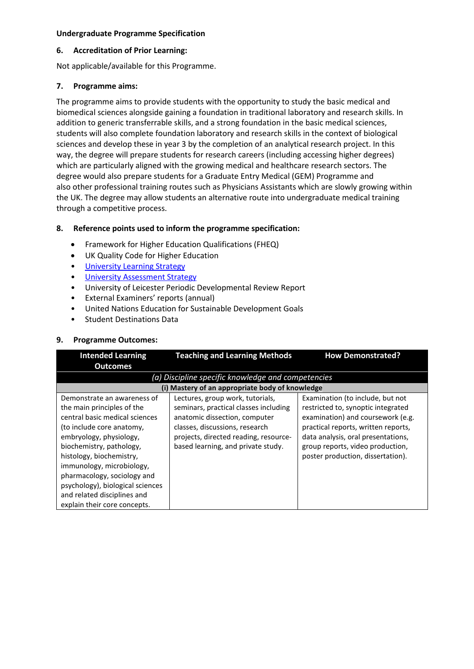#### **6. Accreditation of Prior Learning:**

Not applicable/available for this Programme.

## **7. Programme aims:**

The programme aims to provide students with the opportunity to study the basic medical and biomedical sciences alongside gaining a foundation in traditional laboratory and research skills. In addition to generic transferrable skills, and a strong foundation in the basic medical sciences, students will also complete foundation laboratory and research skills in the context of biological sciences and develop these in year 3 by the completion of an analytical research project. In this way, the degree will prepare students for research careers (including accessing higher degrees) which are particularly aligned with the growing medical and healthcare research sectors. The degree would also prepare students for a Graduate Entry Medical (GEM) Programme and also other professional training routes such as Physicians Assistants which are slowly growing within the UK. The degree may allow students an alternative route into undergraduate medical training through a competitive process.

# **8. Reference points used to inform the programme specification:**

- Framework for Higher Education Qualifications (FHEQ)
- UK Quality Code for Higher Education
- University Learnin[g Strategy](https://www2.le.ac.uk/offices/sas2/quality/learnteach)
- [University Assessment Strategy](https://www2.le.ac.uk/offices/sas2/quality/learnteach)
- University of Leicester Periodic Developmental Review Report
- External Examiners' reports (annual)
- United Nations Education for Sustainable Development Goals
- Student Destinations Data

#### **9. Programme Outcomes:**

| <b>Intended Learning</b>                                                                                                                                                                                                                                                                                                                                                   | <b>Teaching and Learning Methods</b>                                                                                                                                                                                        | <b>How Demonstrated?</b>                                                                                                                                                                                                                                          |
|----------------------------------------------------------------------------------------------------------------------------------------------------------------------------------------------------------------------------------------------------------------------------------------------------------------------------------------------------------------------------|-----------------------------------------------------------------------------------------------------------------------------------------------------------------------------------------------------------------------------|-------------------------------------------------------------------------------------------------------------------------------------------------------------------------------------------------------------------------------------------------------------------|
| <b>Outcomes</b>                                                                                                                                                                                                                                                                                                                                                            |                                                                                                                                                                                                                             |                                                                                                                                                                                                                                                                   |
|                                                                                                                                                                                                                                                                                                                                                                            | (a) Discipline specific knowledge and competencies                                                                                                                                                                          |                                                                                                                                                                                                                                                                   |
|                                                                                                                                                                                                                                                                                                                                                                            | (i) Mastery of an appropriate body of knowledge                                                                                                                                                                             |                                                                                                                                                                                                                                                                   |
| Demonstrate an awareness of<br>the main principles of the<br>central basic medical sciences<br>(to include core anatomy,<br>embryology, physiology,<br>biochemistry, pathology,<br>histology, biochemistry,<br>immunology, microbiology,<br>pharmacology, sociology and<br>psychology), biological sciences<br>and related disciplines and<br>explain their core concepts. | Lectures, group work, tutorials,<br>seminars, practical classes including<br>anatomic dissection, computer<br>classes, discussions, research<br>projects, directed reading, resource-<br>based learning, and private study. | Examination (to include, but not<br>restricted to, synoptic integrated<br>examination) and coursework (e.g.<br>practical reports, written reports,<br>data analysis, oral presentations,<br>group reports, video production,<br>poster production, dissertation). |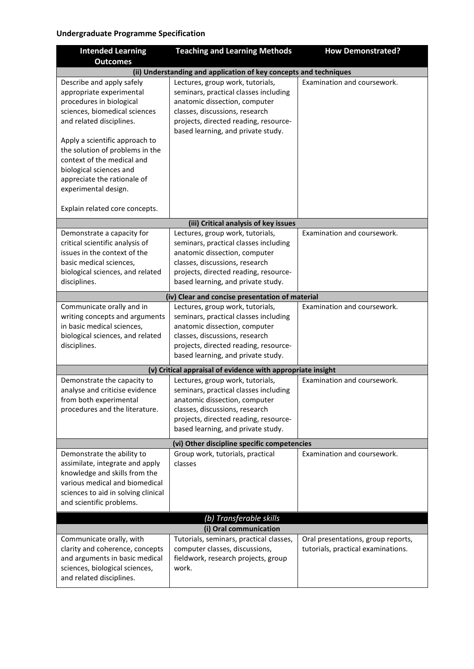| <b>Intended Learning</b>                                                                                                                                                                                                                                                                                                            | <b>Teaching and Learning Methods</b>                                                                                                                                                                                        | <b>How Demonstrated?</b>                                                 |
|-------------------------------------------------------------------------------------------------------------------------------------------------------------------------------------------------------------------------------------------------------------------------------------------------------------------------------------|-----------------------------------------------------------------------------------------------------------------------------------------------------------------------------------------------------------------------------|--------------------------------------------------------------------------|
| <b>Outcomes</b>                                                                                                                                                                                                                                                                                                                     |                                                                                                                                                                                                                             |                                                                          |
|                                                                                                                                                                                                                                                                                                                                     | (ii) Understanding and application of key concepts and techniques                                                                                                                                                           |                                                                          |
| Describe and apply safely<br>appropriate experimental<br>procedures in biological<br>sciences, biomedical sciences<br>and related disciplines.<br>Apply a scientific approach to<br>the solution of problems in the<br>context of the medical and<br>biological sciences and<br>appreciate the rationale of<br>experimental design. | Lectures, group work, tutorials,<br>seminars, practical classes including<br>anatomic dissection, computer<br>classes, discussions, research<br>projects, directed reading, resource-<br>based learning, and private study. | Examination and coursework.                                              |
| Explain related core concepts.                                                                                                                                                                                                                                                                                                      |                                                                                                                                                                                                                             |                                                                          |
|                                                                                                                                                                                                                                                                                                                                     | (iii) Critical analysis of key issues                                                                                                                                                                                       |                                                                          |
| Demonstrate a capacity for<br>critical scientific analysis of<br>issues in the context of the<br>basic medical sciences,<br>biological sciences, and related<br>disciplines.                                                                                                                                                        | Lectures, group work, tutorials,<br>seminars, practical classes including<br>anatomic dissection, computer<br>classes, discussions, research<br>projects, directed reading, resource-<br>based learning, and private study. | Examination and coursework.                                              |
|                                                                                                                                                                                                                                                                                                                                     | (iv) Clear and concise presentation of material                                                                                                                                                                             |                                                                          |
| Communicate orally and in<br>writing concepts and arguments<br>in basic medical sciences,<br>biological sciences, and related<br>disciplines.                                                                                                                                                                                       | Lectures, group work, tutorials,<br>seminars, practical classes including<br>anatomic dissection, computer<br>classes, discussions, research<br>projects, directed reading, resource-<br>based learning, and private study. | Examination and coursework.                                              |
|                                                                                                                                                                                                                                                                                                                                     | (v) Critical appraisal of evidence with appropriate insight                                                                                                                                                                 |                                                                          |
| Demonstrate the capacity to<br>analyse and criticise evidence<br>from both experimental<br>procedures and the literature.                                                                                                                                                                                                           | Lectures, group work, tutorials,<br>seminars, practical classes including<br>anatomic dissection, computer<br>classes, discussions, research<br>projects, directed reading, resource-<br>based learning, and private study. | Examination and coursework.                                              |
| (vi) Other discipline specific competencies                                                                                                                                                                                                                                                                                         |                                                                                                                                                                                                                             |                                                                          |
| Demonstrate the ability to<br>assimilate, integrate and apply<br>knowledge and skills from the<br>various medical and biomedical<br>sciences to aid in solving clinical<br>and scientific problems.                                                                                                                                 | Group work, tutorials, practical<br>classes                                                                                                                                                                                 | Examination and coursework.                                              |
| (b) Transferable skills                                                                                                                                                                                                                                                                                                             |                                                                                                                                                                                                                             |                                                                          |
| (i) Oral communication                                                                                                                                                                                                                                                                                                              |                                                                                                                                                                                                                             |                                                                          |
| Communicate orally, with<br>clarity and coherence, concepts<br>and arguments in basic medical<br>sciences, biological sciences,<br>and related disciplines.                                                                                                                                                                         | Tutorials, seminars, practical classes,<br>computer classes, discussions,<br>fieldwork, research projects, group<br>work.                                                                                                   | Oral presentations, group reports,<br>tutorials, practical examinations. |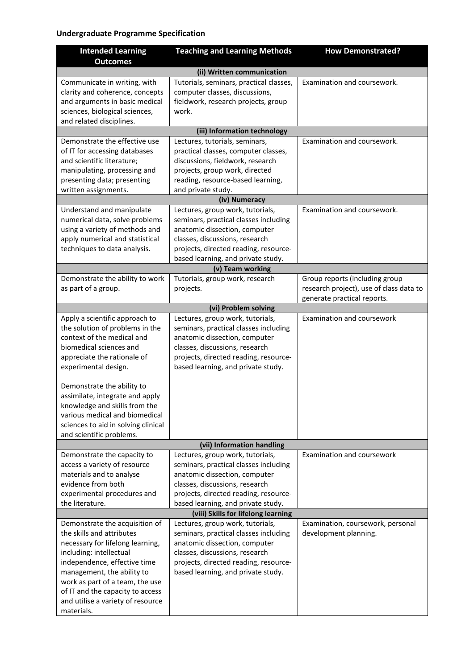| <b>Intended Learning</b>            | <b>Teaching and Learning Methods</b>    | <b>How Demonstrated?</b>                                               |
|-------------------------------------|-----------------------------------------|------------------------------------------------------------------------|
| <b>Outcomes</b>                     |                                         |                                                                        |
|                                     | (ii) Written communication              |                                                                        |
| Communicate in writing, with        | Tutorials, seminars, practical classes, | Examination and coursework.                                            |
| clarity and coherence, concepts     | computer classes, discussions,          |                                                                        |
| and arguments in basic medical      | fieldwork, research projects, group     |                                                                        |
| sciences, biological sciences,      | work.                                   |                                                                        |
| and related disciplines.            |                                         |                                                                        |
|                                     | (iii) Information technology            |                                                                        |
| Demonstrate the effective use       | Lectures, tutorials, seminars,          | Examination and coursework.                                            |
| of IT for accessing databases       | practical classes, computer classes,    |                                                                        |
| and scientific literature;          | discussions, fieldwork, research        |                                                                        |
| manipulating, processing and        | projects, group work, directed          |                                                                        |
| presenting data; presenting         | reading, resource-based learning,       |                                                                        |
| written assignments.                | and private study.                      |                                                                        |
|                                     | (iv) Numeracy                           |                                                                        |
| Understand and manipulate           | Lectures, group work, tutorials,        | Examination and coursework.                                            |
| numerical data, solve problems      | seminars, practical classes including   |                                                                        |
| using a variety of methods and      | anatomic dissection, computer           |                                                                        |
| apply numerical and statistical     | classes, discussions, research          |                                                                        |
| techniques to data analysis.        | projects, directed reading, resource-   |                                                                        |
|                                     | based learning, and private study.      |                                                                        |
|                                     | (v) Team working                        |                                                                        |
| Demonstrate the ability to work     | Tutorials, group work, research         | Group reports (including group                                         |
| as part of a group.                 | projects.                               | research project), use of class data to<br>generate practical reports. |
|                                     | (vi) Problem solving                    |                                                                        |
| Apply a scientific approach to      | Lectures, group work, tutorials,        | Examination and coursework                                             |
| the solution of problems in the     | seminars, practical classes including   |                                                                        |
| context of the medical and          | anatomic dissection, computer           |                                                                        |
| biomedical sciences and             | classes, discussions, research          |                                                                        |
| appreciate the rationale of         | projects, directed reading, resource-   |                                                                        |
| experimental design.                | based learning, and private study.      |                                                                        |
|                                     |                                         |                                                                        |
| Demonstrate the ability to          |                                         |                                                                        |
| assimilate, integrate and apply     |                                         |                                                                        |
| knowledge and skills from the       |                                         |                                                                        |
| various medical and biomedical      |                                         |                                                                        |
| sciences to aid in solving clinical |                                         |                                                                        |
| and scientific problems.            |                                         |                                                                        |
|                                     | (vii) Information handling              |                                                                        |
| Demonstrate the capacity to         | Lectures, group work, tutorials,        | Examination and coursework                                             |
| access a variety of resource        | seminars, practical classes including   |                                                                        |
| materials and to analyse            | anatomic dissection, computer           |                                                                        |
| evidence from both                  | classes, discussions, research          |                                                                        |
| experimental procedures and         | projects, directed reading, resource-   |                                                                        |
| the literature.                     | based learning, and private study.      |                                                                        |
|                                     | (viii) Skills for lifelong learning     |                                                                        |
| Demonstrate the acquisition of      | Lectures, group work, tutorials,        | Examination, coursework, personal                                      |
| the skills and attributes           | seminars, practical classes including   | development planning.                                                  |
| necessary for lifelong learning,    | anatomic dissection, computer           |                                                                        |
| including: intellectual             | classes, discussions, research          |                                                                        |
| independence, effective time        | projects, directed reading, resource-   |                                                                        |
| management, the ability to          | based learning, and private study.      |                                                                        |
| work as part of a team, the use     |                                         |                                                                        |
| of IT and the capacity to access    |                                         |                                                                        |
| and utilise a variety of resource   |                                         |                                                                        |
| materials.                          |                                         |                                                                        |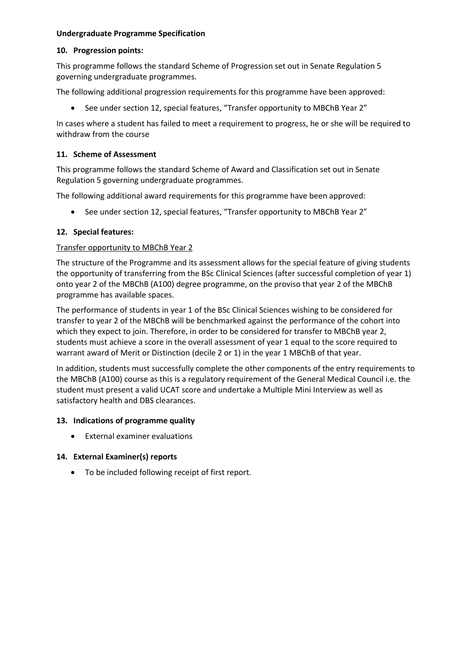#### **10. Progression points:**

This programme follows the standard Scheme of Progression set out in Senate Regulation 5 governing undergraduate programmes.

The following additional progression requirements for this programme have been approved:

• See under section 12, special features, "Transfer opportunity to MBChB Year 2"

In cases where a student has failed to meet a requirement to progress, he or she will be required to withdraw from the course

#### **11. Scheme of Assessment**

This programme follows the standard Scheme of Award and Classification set out in Senate Regulation 5 governing undergraduate programmes.

The following additional award requirements for this programme have been approved:

• See under section 12, special features, "Transfer opportunity to MBChB Year 2"

#### **12. Special features:**

#### Transfer opportunity to MBChB Year 2

The structure of the Programme and its assessment allows for the special feature of giving students the opportunity of transferring from the BSc Clinical Sciences (after successful completion of year 1) onto year 2 of the MBChB (A100) degree programme, on the proviso that year 2 of the MBChB programme has available spaces.

The performance of students in year 1 of the BSc Clinical Sciences wishing to be considered for transfer to year 2 of the MBChB will be benchmarked against the performance of the cohort into which they expect to join. Therefore, in order to be considered for transfer to MBChB year 2, students must achieve a score in the overall assessment of year 1 equal to the score required to warrant award of Merit or Distinction (decile 2 or 1) in the year 1 MBChB of that year.

In addition, students must successfully complete the other components of the entry requirements to the MBChB (A100) course as this is a regulatory requirement of the General Medical Council i.e. the student must present a valid UCAT score and undertake a Multiple Mini Interview as well as satisfactory health and DBS clearances.

#### **13. Indications of programme quality**

• External examiner evaluations

#### **14. External Examiner(s) reports**

• To be included following receipt of first report.